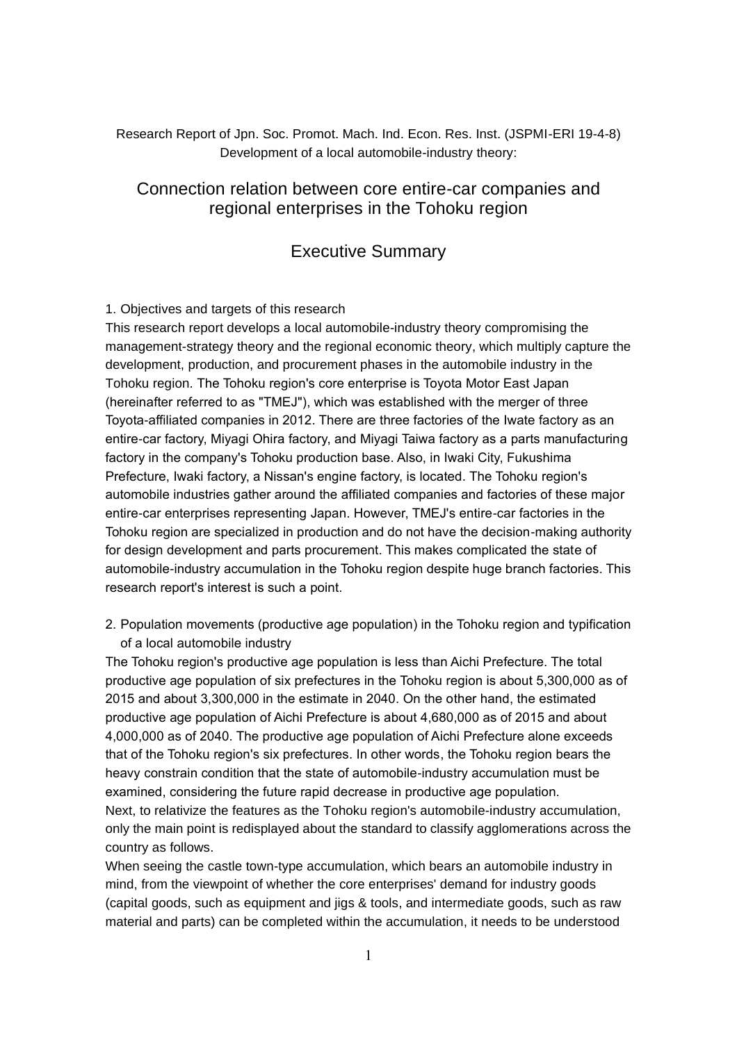### Research Report of Jpn. Soc. Promot. Mach. Ind. Econ. Res. Inst. (JSPMI-ERI 19-4-8) Development of a local automobile-industry theory:

# Connection relation between core entire-car companies and regional enterprises in the Tohoku region

## Executive Summary

#### 1. Objectives and targets of this research

This research report develops a local automobile-industry theory compromising the management-strategy theory and the regional economic theory, which multiply capture the development, production, and procurement phases in the automobile industry in the Tohoku region. The Tohoku region's core enterprise is Toyota Motor East Japan (hereinafter referred to as "TMEJ"), which was established with the merger of three Toyota-affiliated companies in 2012. There are three factories of the Iwate factory as an entire-car factory, Miyagi Ohira factory, and Miyagi Taiwa factory as a parts manufacturing factory in the company's Tohoku production base. Also, in Iwaki City, Fukushima Prefecture, Iwaki factory, a Nissan's engine factory, is located. The Tohoku region's automobile industries gather around the affiliated companies and factories of these major entire-car enterprises representing Japan. However, TMEJ's entire-car factories in the Tohoku region are specialized in production and do not have the decision-making authority for design development and parts procurement. This makes complicated the state of automobile-industry accumulation in the Tohoku region despite huge branch factories. This research report's interest is such a point.

2. Population movements (productive age population) in the Tohoku region and typification of a local automobile industry

The Tohoku region's productive age population is less than Aichi Prefecture. The total productive age population of six prefectures in the Tohoku region is about 5,300,000 as of 2015 and about 3,300,000 in the estimate in 2040. On the other hand, the estimated productive age population of Aichi Prefecture is about 4,680,000 as of 2015 and about 4,000,000 as of 2040. The productive age population of Aichi Prefecture alone exceeds that of the Tohoku region's six prefectures. In other words, the Tohoku region bears the heavy constrain condition that the state of automobile-industry accumulation must be examined, considering the future rapid decrease in productive age population. Next, to relativize the features as the Tohoku region's automobile-industry accumulation, only the main point is redisplayed about the standard to classify agglomerations across the country as follows.

When seeing the castle town-type accumulation, which bears an automobile industry in mind, from the viewpoint of whether the core enterprises' demand for industry goods (capital goods, such as equipment and jigs & tools, and intermediate goods, such as raw material and parts) can be completed within the accumulation, it needs to be understood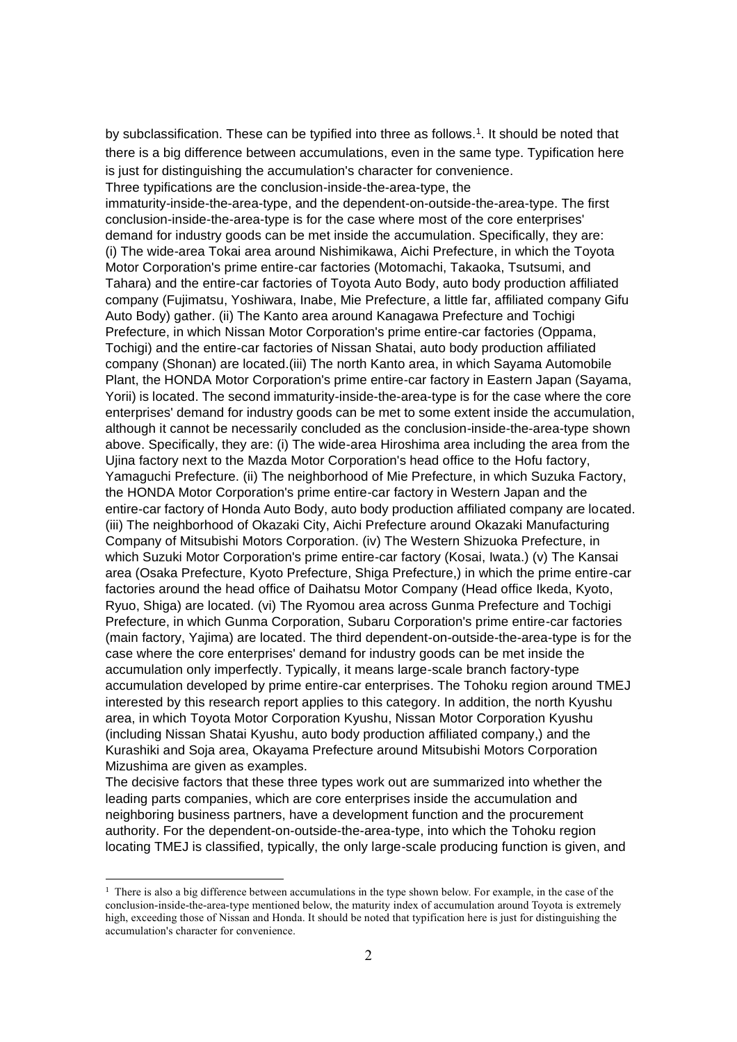by subclassification. These can be typified into three as follows.<sup>1</sup>. It should be noted that there is a big difference between accumulations, even in the same type. Typification here is just for distinguishing the accumulation's character for convenience.

Three typifications are the conclusion-inside-the-area-type, the immaturity-inside-the-area-type, and the dependent-on-outside-the-area-type. The first conclusion-inside-the-area-type is for the case where most of the core enterprises' demand for industry goods can be met inside the accumulation. Specifically, they are: (i) The wide-area Tokai area around Nishimikawa, Aichi Prefecture, in which the Toyota Motor Corporation's prime entire-car factories (Motomachi, Takaoka, Tsutsumi, and Tahara) and the entire-car factories of Toyota Auto Body, auto body production affiliated company (Fujimatsu, Yoshiwara, Inabe, Mie Prefecture, a little far, affiliated company Gifu Auto Body) gather. (ii) The Kanto area around Kanagawa Prefecture and Tochigi Prefecture, in which Nissan Motor Corporation's prime entire-car factories (Oppama, Tochigi) and the entire-car factories of Nissan Shatai, auto body production affiliated company (Shonan) are located.(iii) The north Kanto area, in which Sayama Automobile Plant, the HONDA Motor Corporation's prime entire-car factory in Eastern Japan (Sayama, Yorii) is located. The second immaturity-inside-the-area-type is for the case where the core enterprises' demand for industry goods can be met to some extent inside the accumulation, although it cannot be necessarily concluded as the conclusion-inside-the-area-type shown above. Specifically, they are: (i) The wide-area Hiroshima area including the area from the Ujina factory next to the Mazda Motor Corporation's head office to the Hofu factory, Yamaguchi Prefecture. (ii) The neighborhood of Mie Prefecture, in which Suzuka Factory, the HONDA Motor Corporation's prime entire-car factory in Western Japan and the entire-car factory of Honda Auto Body, auto body production affiliated company are located. (iii) The neighborhood of Okazaki City, Aichi Prefecture around Okazaki Manufacturing Company of Mitsubishi Motors Corporation. (iv) The Western Shizuoka Prefecture, in which Suzuki Motor Corporation's prime entire-car factory (Kosai, Iwata.) (v) The Kansai area (Osaka Prefecture, Kyoto Prefecture, Shiga Prefecture,) in which the prime entire-car factories around the head office of Daihatsu Motor Company (Head office Ikeda, Kyoto, Ryuo, Shiga) are located. (vi) The Ryomou area across Gunma Prefecture and Tochigi Prefecture, in which Gunma Corporation, Subaru Corporation's prime entire-car factories (main factory, Yajima) are located. The third dependent-on-outside-the-area-type is for the case where the core enterprises' demand for industry goods can be met inside the accumulation only imperfectly. Typically, it means large-scale branch factory-type accumulation developed by prime entire-car enterprises. The Tohoku region around TMEJ interested by this research report applies to this category. In addition, the north Kyushu area, in which Toyota Motor Corporation Kyushu, Nissan Motor Corporation Kyushu (including Nissan Shatai Kyushu, auto body production affiliated company,) and the Kurashiki and Soja area, Okayama Prefecture around Mitsubishi Motors Corporation Mizushima are given as examples.

The decisive factors that these three types work out are summarized into whether the leading parts companies, which are core enterprises inside the accumulation and neighboring business partners, have a development function and the procurement authority. For the dependent-on-outside-the-area-type, into which the Tohoku region locating TMEJ is classified, typically, the only large-scale producing function is given, and

<sup>&</sup>lt;sup>1</sup> There is also a big difference between accumulations in the type shown below. For example, in the case of the conclusion-inside-the-area-type mentioned below, the maturity index of accumulation around Toyota is extremely high, exceeding those of Nissan and Honda. It should be noted that typification here is just for distinguishing the accumulation's character for convenience.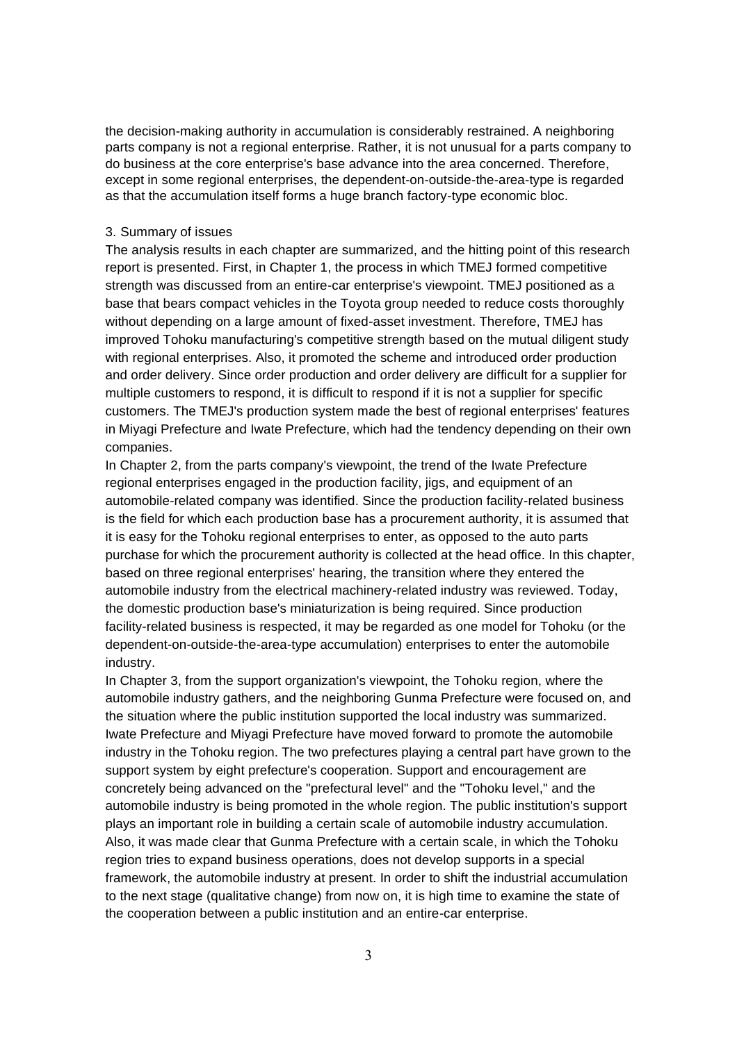the decision-making authority in accumulation is considerably restrained. A neighboring parts company is not a regional enterprise. Rather, it is not unusual for a parts company to do business at the core enterprise's base advance into the area concerned. Therefore, except in some regional enterprises, the dependent-on-outside-the-area-type is regarded as that the accumulation itself forms a huge branch factory-type economic bloc.

#### 3. Summary of issues

The analysis results in each chapter are summarized, and the hitting point of this research report is presented. First, in Chapter 1, the process in which TMEJ formed competitive strength was discussed from an entire-car enterprise's viewpoint. TMEJ positioned as a base that bears compact vehicles in the Toyota group needed to reduce costs thoroughly without depending on a large amount of fixed-asset investment. Therefore, TMEJ has improved Tohoku manufacturing's competitive strength based on the mutual diligent study with regional enterprises. Also, it promoted the scheme and introduced order production and order delivery. Since order production and order delivery are difficult for a supplier for multiple customers to respond, it is difficult to respond if it is not a supplier for specific customers. The TMEJ's production system made the best of regional enterprises' features in Miyagi Prefecture and Iwate Prefecture, which had the tendency depending on their own companies.

In Chapter 2, from the parts company's viewpoint, the trend of the Iwate Prefecture regional enterprises engaged in the production facility, jigs, and equipment of an automobile-related company was identified. Since the production facility-related business is the field for which each production base has a procurement authority, it is assumed that it is easy for the Tohoku regional enterprises to enter, as opposed to the auto parts purchase for which the procurement authority is collected at the head office. In this chapter, based on three regional enterprises' hearing, the transition where they entered the automobile industry from the electrical machinery-related industry was reviewed. Today, the domestic production base's miniaturization is being required. Since production facility-related business is respected, it may be regarded as one model for Tohoku (or the dependent-on-outside-the-area-type accumulation) enterprises to enter the automobile industry.

In Chapter 3, from the support organization's viewpoint, the Tohoku region, where the automobile industry gathers, and the neighboring Gunma Prefecture were focused on, and the situation where the public institution supported the local industry was summarized. Iwate Prefecture and Miyagi Prefecture have moved forward to promote the automobile industry in the Tohoku region. The two prefectures playing a central part have grown to the support system by eight prefecture's cooperation. Support and encouragement are concretely being advanced on the "prefectural level" and the "Tohoku level," and the automobile industry is being promoted in the whole region. The public institution's support plays an important role in building a certain scale of automobile industry accumulation. Also, it was made clear that Gunma Prefecture with a certain scale, in which the Tohoku region tries to expand business operations, does not develop supports in a special framework, the automobile industry at present. In order to shift the industrial accumulation to the next stage (qualitative change) from now on, it is high time to examine the state of the cooperation between a public institution and an entire-car enterprise.